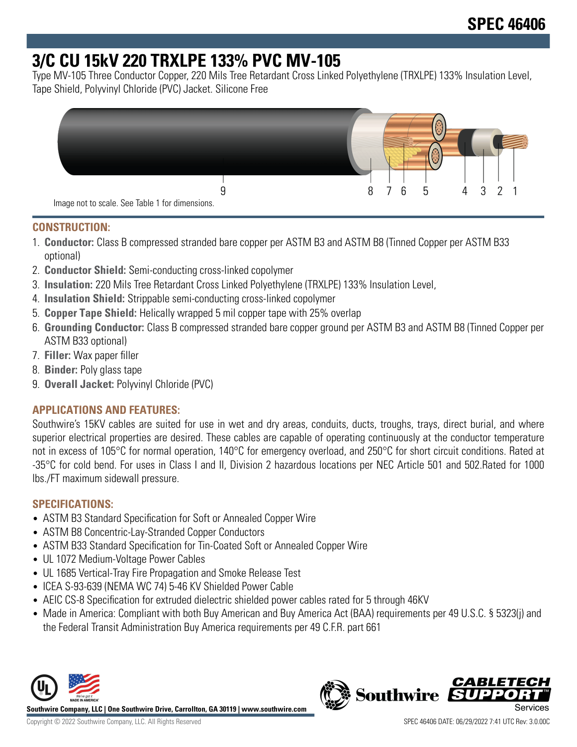# **3/C CU 15kV 220 TRXLPE 133% PVC MV-105**

Type MV-105 Three Conductor Copper, 220 Mils Tree Retardant Cross Linked Polyethylene (TRXLPE) 133% Insulation Level, Tape Shield, Polyvinyl Chloride (PVC) Jacket. Silicone Free



### **CONSTRUCTION:**

- 1. **Conductor:** Class B compressed stranded bare copper per ASTM B3 and ASTM B8 (Tinned Copper per ASTM B33 optional)
- 2. **Conductor Shield:** Semi-conducting cross-linked copolymer
- 3. **Insulation:** 220 Mils Tree Retardant Cross Linked Polyethylene (TRXLPE) 133% Insulation Level,
- 4. **Insulation Shield:** Strippable semi-conducting cross-linked copolymer
- 5. **Copper Tape Shield:** Helically wrapped 5 mil copper tape with 25% overlap
- 6. **Grounding Conductor:** Class B compressed stranded bare copper ground per ASTM B3 and ASTM B8 (Tinned Copper per ASTM B33 optional)
- 7. **Filler:** Wax paper filler
- 8. **Binder:** Poly glass tape
- 9. **Overall Jacket:** Polyvinyl Chloride (PVC)

## **APPLICATIONS AND FEATURES:**

Southwire's 15KV cables are suited for use in wet and dry areas, conduits, ducts, troughs, trays, direct burial, and where superior electrical properties are desired. These cables are capable of operating continuously at the conductor temperature not in excess of 105°C for normal operation, 140°C for emergency overload, and 250°C for short circuit conditions. Rated at -35°C for cold bend. For uses in Class I and II, Division 2 hazardous locations per NEC Article 501 and 502.Rated for 1000 lbs./FT maximum sidewall pressure.

## **SPECIFICATIONS:**

- ASTM B3 Standard Specification for Soft or Annealed Copper Wire
- ASTM B8 Concentric-Lay-Stranded Copper Conductors
- ASTM B33 Standard Specification for Tin-Coated Soft or Annealed Copper Wire
- UL 1072 Medium-Voltage Power Cables
- UL 1685 Vertical-Tray Fire Propagation and Smoke Release Test
- ICEA S-93-639 (NEMA WC 74) 5-46 KV Shielded Power Cable
- AEIC CS-8 Specification for extruded dielectric shielded power cables rated for 5 through 46KV
- Made in America: Compliant with both Buy American and Buy America Act (BAA) requirements per 49 U.S.C. § 5323(j) and the Federal Transit Administration Buy America requirements per 49 C.F.R. part 661